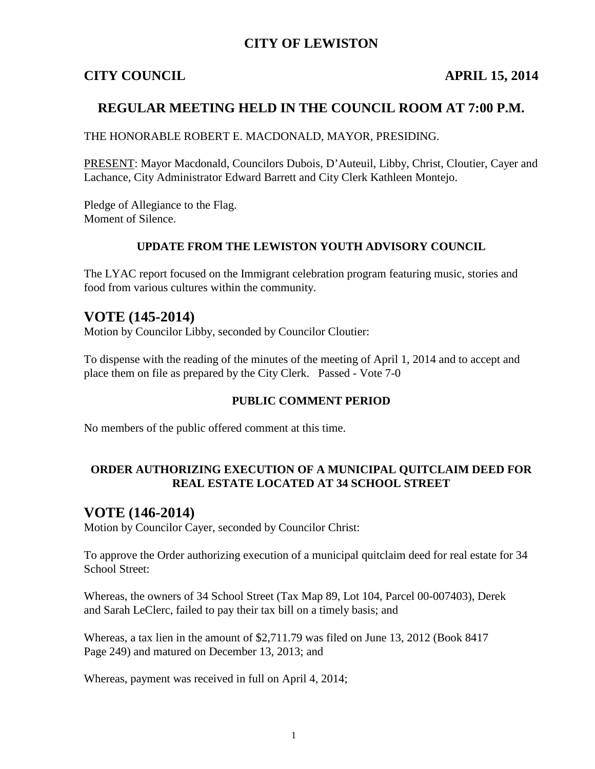## **CITY OF LEWISTON**

## **CITY COUNCIL APRIL 15, 2014**

## **REGULAR MEETING HELD IN THE COUNCIL ROOM AT 7:00 P.M.**

THE HONORABLE ROBERT E. MACDONALD, MAYOR, PRESIDING.

PRESENT: Mayor Macdonald, Councilors Dubois, D'Auteuil, Libby, Christ, Cloutier, Cayer and Lachance, City Administrator Edward Barrett and City Clerk Kathleen Montejo.

Pledge of Allegiance to the Flag. Moment of Silence.

#### **UPDATE FROM THE LEWISTON YOUTH ADVISORY COUNCIL**

The LYAC report focused on the Immigrant celebration program featuring music, stories and food from various cultures within the community.

## **VOTE (145-2014)**

Motion by Councilor Libby, seconded by Councilor Cloutier:

To dispense with the reading of the minutes of the meeting of April 1, 2014 and to accept and place them on file as prepared by the City Clerk. Passed - Vote 7-0

#### **PUBLIC COMMENT PERIOD**

No members of the public offered comment at this time.

#### **ORDER AUTHORIZING EXECUTION OF A MUNICIPAL QUITCLAIM DEED FOR REAL ESTATE LOCATED AT 34 SCHOOL STREET**

## **VOTE (146-2014)**

Motion by Councilor Cayer, seconded by Councilor Christ:

To approve the Order authorizing execution of a municipal quitclaim deed for real estate for 34 School Street:

Whereas, the owners of 34 School Street (Tax Map 89, Lot 104, Parcel 00-007403), Derek and Sarah LeClerc, failed to pay their tax bill on a timely basis; and

Whereas, a tax lien in the amount of \$2,711.79 was filed on June 13, 2012 (Book 8417 Page 249) and matured on December 13, 2013; and

Whereas, payment was received in full on April 4, 2014;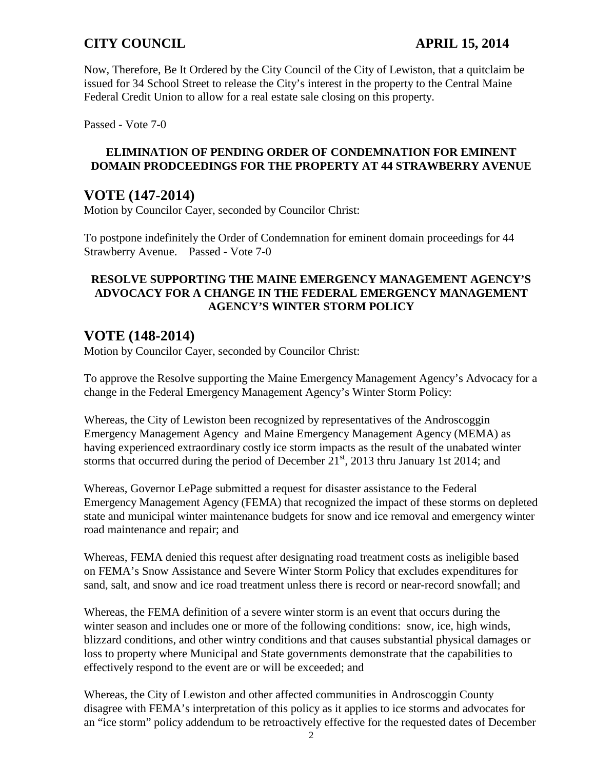Now, Therefore, Be It Ordered by the City Council of the City of Lewiston, that a quitclaim be issued for 34 School Street to release the City's interest in the property to the Central Maine Federal Credit Union to allow for a real estate sale closing on this property.

Passed - Vote 7-0

### **ELIMINATION OF PENDING ORDER OF CONDEMNATION FOR EMINENT DOMAIN PRODCEEDINGS FOR THE PROPERTY AT 44 STRAWBERRY AVENUE**

# **VOTE (147-2014)**

Motion by Councilor Cayer, seconded by Councilor Christ:

To postpone indefinitely the Order of Condemnation for eminent domain proceedings for 44 Strawberry Avenue. Passed - Vote 7-0

### **RESOLVE SUPPORTING THE MAINE EMERGENCY MANAGEMENT AGENCY'S ADVOCACY FOR A CHANGE IN THE FEDERAL EMERGENCY MANAGEMENT AGENCY'S WINTER STORM POLICY**

# **VOTE (148-2014)**

Motion by Councilor Cayer, seconded by Councilor Christ:

To approve the Resolve supporting the Maine Emergency Management Agency's Advocacy for a change in the Federal Emergency Management Agency's Winter Storm Policy:

Whereas, the City of Lewiston been recognized by representatives of the Androscoggin Emergency Management Agency and Maine Emergency Management Agency (MEMA) as having experienced extraordinary costly ice storm impacts as the result of the unabated winter storms that occurred during the period of December  $21<sup>st</sup>$ , 2013 thru January 1st 2014; and

Whereas, Governor LePage submitted a request for disaster assistance to the Federal Emergency Management Agency (FEMA) that recognized the impact of these storms on depleted state and municipal winter maintenance budgets for snow and ice removal and emergency winter road maintenance and repair; and

Whereas, FEMA denied this request after designating road treatment costs as ineligible based on FEMA's Snow Assistance and Severe Winter Storm Policy that excludes expenditures for sand, salt, and snow and ice road treatment unless there is record or near-record snowfall; and

Whereas, the FEMA definition of a severe winter storm is an event that occurs during the winter season and includes one or more of the following conditions: snow, ice, high winds, blizzard conditions, and other wintry conditions and that causes substantial physical damages or loss to property where Municipal and State governments demonstrate that the capabilities to effectively respond to the event are or will be exceeded; and

Whereas, the City of Lewiston and other affected communities in Androscoggin County disagree with FEMA's interpretation of this policy as it applies to ice storms and advocates for an "ice storm" policy addendum to be retroactively effective for the requested dates of December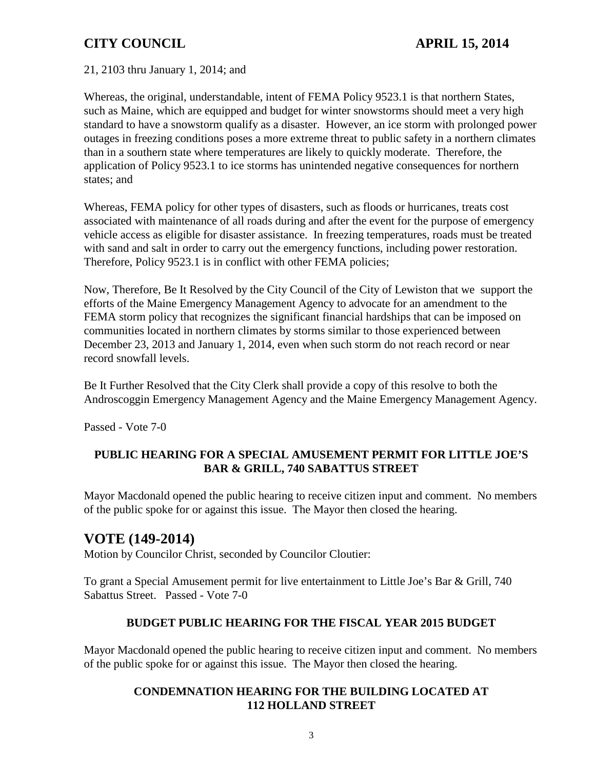21, 2103 thru January 1, 2014; and

Whereas, the original, understandable, intent of FEMA Policy 9523.1 is that northern States, such as Maine, which are equipped and budget for winter snowstorms should meet a very high standard to have a snowstorm qualify as a disaster. However, an ice storm with prolonged power outages in freezing conditions poses a more extreme threat to public safety in a northern climates than in a southern state where temperatures are likely to quickly moderate. Therefore, the application of Policy 9523.1 to ice storms has unintended negative consequences for northern states; and

Whereas, FEMA policy for other types of disasters, such as floods or hurricanes, treats cost associated with maintenance of all roads during and after the event for the purpose of emergency vehicle access as eligible for disaster assistance. In freezing temperatures, roads must be treated with sand and salt in order to carry out the emergency functions, including power restoration. Therefore, Policy 9523.1 is in conflict with other FEMA policies;

Now, Therefore, Be It Resolved by the City Council of the City of Lewiston that we support the efforts of the Maine Emergency Management Agency to advocate for an amendment to the FEMA storm policy that recognizes the significant financial hardships that can be imposed on communities located in northern climates by storms similar to those experienced between December 23, 2013 and January 1, 2014, even when such storm do not reach record or near record snowfall levels.

Be It Further Resolved that the City Clerk shall provide a copy of this resolve to both the Androscoggin Emergency Management Agency and the Maine Emergency Management Agency.

Passed - Vote 7-0

## **PUBLIC HEARING FOR A SPECIAL AMUSEMENT PERMIT FOR LITTLE JOE'S BAR & GRILL, 740 SABATTUS STREET**

Mayor Macdonald opened the public hearing to receive citizen input and comment. No members of the public spoke for or against this issue. The Mayor then closed the hearing.

# **VOTE (149-2014)**

Motion by Councilor Christ, seconded by Councilor Cloutier:

To grant a Special Amusement permit for live entertainment to Little Joe's Bar & Grill, 740 Sabattus Street. Passed - Vote 7-0

## **BUDGET PUBLIC HEARING FOR THE FISCAL YEAR 2015 BUDGET**

Mayor Macdonald opened the public hearing to receive citizen input and comment. No members of the public spoke for or against this issue. The Mayor then closed the hearing.

## **CONDEMNATION HEARING FOR THE BUILDING LOCATED AT 112 HOLLAND STREET**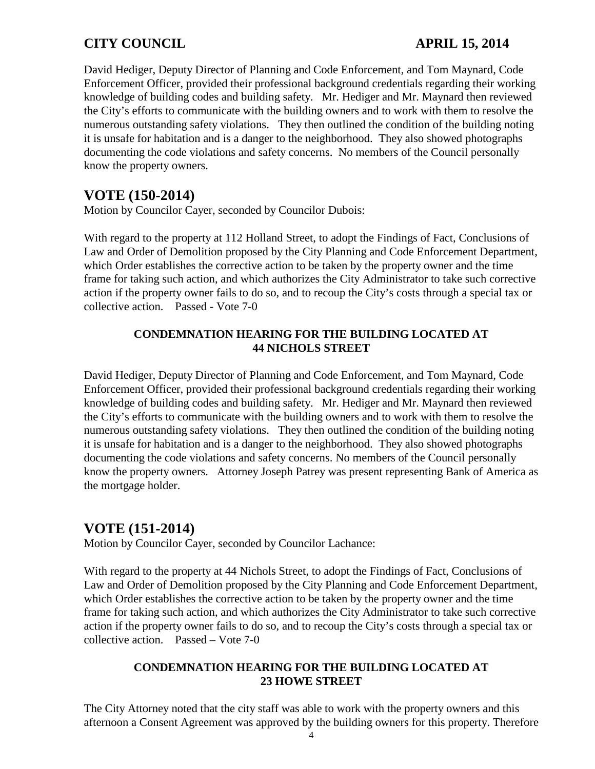David Hediger, Deputy Director of Planning and Code Enforcement, and Tom Maynard, Code Enforcement Officer, provided their professional background credentials regarding their working knowledge of building codes and building safety. Mr. Hediger and Mr. Maynard then reviewed the City's efforts to communicate with the building owners and to work with them to resolve the numerous outstanding safety violations. They then outlined the condition of the building noting it is unsafe for habitation and is a danger to the neighborhood. They also showed photographs documenting the code violations and safety concerns. No members of the Council personally know the property owners.

## **VOTE (150-2014)**

Motion by Councilor Cayer, seconded by Councilor Dubois:

With regard to the property at 112 Holland Street, to adopt the Findings of Fact, Conclusions of Law and Order of Demolition proposed by the City Planning and Code Enforcement Department, which Order establishes the corrective action to be taken by the property owner and the time frame for taking such action, and which authorizes the City Administrator to take such corrective action if the property owner fails to do so, and to recoup the City's costs through a special tax or collective action. Passed - Vote 7-0

#### **CONDEMNATION HEARING FOR THE BUILDING LOCATED AT 44 NICHOLS STREET**

David Hediger, Deputy Director of Planning and Code Enforcement, and Tom Maynard, Code Enforcement Officer, provided their professional background credentials regarding their working knowledge of building codes and building safety. Mr. Hediger and Mr. Maynard then reviewed the City's efforts to communicate with the building owners and to work with them to resolve the numerous outstanding safety violations. They then outlined the condition of the building noting it is unsafe for habitation and is a danger to the neighborhood. They also showed photographs documenting the code violations and safety concerns. No members of the Council personally know the property owners. Attorney Joseph Patrey was present representing Bank of America as the mortgage holder.

# **VOTE (151-2014)**

Motion by Councilor Cayer, seconded by Councilor Lachance:

With regard to the property at 44 Nichols Street, to adopt the Findings of Fact, Conclusions of Law and Order of Demolition proposed by the City Planning and Code Enforcement Department, which Order establishes the corrective action to be taken by the property owner and the time frame for taking such action, and which authorizes the City Administrator to take such corrective action if the property owner fails to do so, and to recoup the City's costs through a special tax or collective action. Passed – Vote 7-0

### **CONDEMNATION HEARING FOR THE BUILDING LOCATED AT 23 HOWE STREET**

The City Attorney noted that the city staff was able to work with the property owners and this afternoon a Consent Agreement was approved by the building owners for this property. Therefore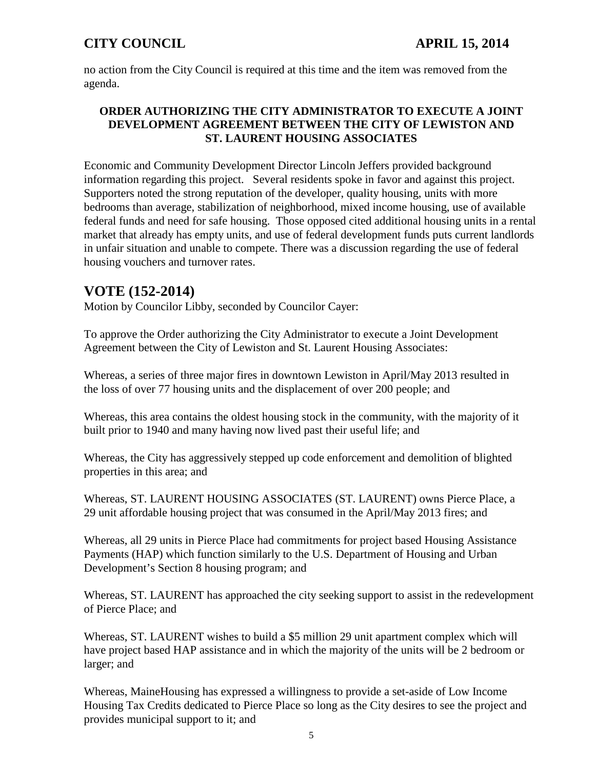no action from the City Council is required at this time and the item was removed from the agenda.

### **ORDER AUTHORIZING THE CITY ADMINISTRATOR TO EXECUTE A JOINT DEVELOPMENT AGREEMENT BETWEEN THE CITY OF LEWISTON AND ST. LAURENT HOUSING ASSOCIATES**

Economic and Community Development Director Lincoln Jeffers provided background information regarding this project. Several residents spoke in favor and against this project. Supporters noted the strong reputation of the developer, quality housing, units with more bedrooms than average, stabilization of neighborhood, mixed income housing, use of available federal funds and need for safe housing. Those opposed cited additional housing units in a rental market that already has empty units, and use of federal development funds puts current landlords in unfair situation and unable to compete. There was a discussion regarding the use of federal housing vouchers and turnover rates.

# **VOTE (152-2014)**

Motion by Councilor Libby, seconded by Councilor Cayer:

To approve the Order authorizing the City Administrator to execute a Joint Development Agreement between the City of Lewiston and St. Laurent Housing Associates:

Whereas, a series of three major fires in downtown Lewiston in April/May 2013 resulted in the loss of over 77 housing units and the displacement of over 200 people; and

Whereas, this area contains the oldest housing stock in the community, with the majority of it built prior to 1940 and many having now lived past their useful life; and

Whereas, the City has aggressively stepped up code enforcement and demolition of blighted properties in this area; and

Whereas, ST. LAURENT HOUSING ASSOCIATES (ST. LAURENT) owns Pierce Place, a 29 unit affordable housing project that was consumed in the April/May 2013 fires; and

Whereas, all 29 units in Pierce Place had commitments for project based Housing Assistance Payments (HAP) which function similarly to the U.S. Department of Housing and Urban Development's Section 8 housing program; and

Whereas, ST. LAURENT has approached the city seeking support to assist in the redevelopment of Pierce Place; and

Whereas, ST. LAURENT wishes to build a \$5 million 29 unit apartment complex which will have project based HAP assistance and in which the majority of the units will be 2 bedroom or larger; and

Whereas, MaineHousing has expressed a willingness to provide a set-aside of Low Income Housing Tax Credits dedicated to Pierce Place so long as the City desires to see the project and provides municipal support to it; and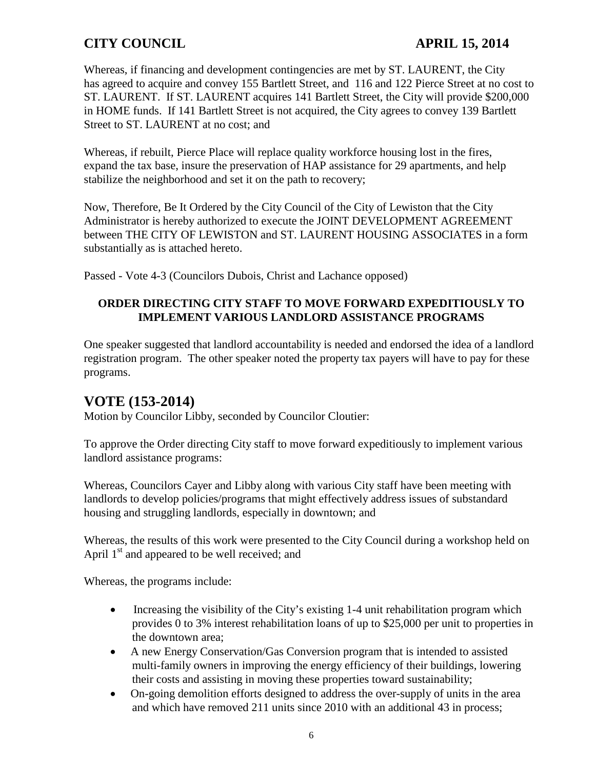Whereas, if financing and development contingencies are met by ST. LAURENT, the City has agreed to acquire and convey 155 Bartlett Street, and 116 and 122 Pierce Street at no cost to ST. LAURENT. If ST. LAURENT acquires 141 Bartlett Street, the City will provide \$200,000 in HOME funds. If 141 Bartlett Street is not acquired, the City agrees to convey 139 Bartlett Street to ST. LAURENT at no cost; and

Whereas, if rebuilt, Pierce Place will replace quality workforce housing lost in the fires, expand the tax base, insure the preservation of HAP assistance for 29 apartments, and help stabilize the neighborhood and set it on the path to recovery;

Now, Therefore, Be It Ordered by the City Council of the City of Lewiston that the City Administrator is hereby authorized to execute the JOINT DEVELOPMENT AGREEMENT between THE CITY OF LEWISTON and ST. LAURENT HOUSING ASSOCIATES in a form substantially as is attached hereto.

Passed - Vote 4-3 (Councilors Dubois, Christ and Lachance opposed)

## **ORDER DIRECTING CITY STAFF TO MOVE FORWARD EXPEDITIOUSLY TO IMPLEMENT VARIOUS LANDLORD ASSISTANCE PROGRAMS**

One speaker suggested that landlord accountability is needed and endorsed the idea of a landlord registration program. The other speaker noted the property tax payers will have to pay for these programs.

## **VOTE (153-2014)**

Motion by Councilor Libby, seconded by Councilor Cloutier:

To approve the Order directing City staff to move forward expeditiously to implement various landlord assistance programs:

Whereas, Councilors Cayer and Libby along with various City staff have been meeting with landlords to develop policies/programs that might effectively address issues of substandard housing and struggling landlords, especially in downtown; and

Whereas, the results of this work were presented to the City Council during a workshop held on April  $1<sup>st</sup>$  and appeared to be well received; and

Whereas, the programs include:

- Increasing the visibility of the City's existing 1-4 unit rehabilitation program which provides 0 to 3% interest rehabilitation loans of up to \$25,000 per unit to properties in the downtown area;
- A new Energy Conservation/Gas Conversion program that is intended to assisted multi-family owners in improving the energy efficiency of their buildings, lowering their costs and assisting in moving these properties toward sustainability;
- On-going demolition efforts designed to address the over-supply of units in the area and which have removed 211 units since 2010 with an additional 43 in process;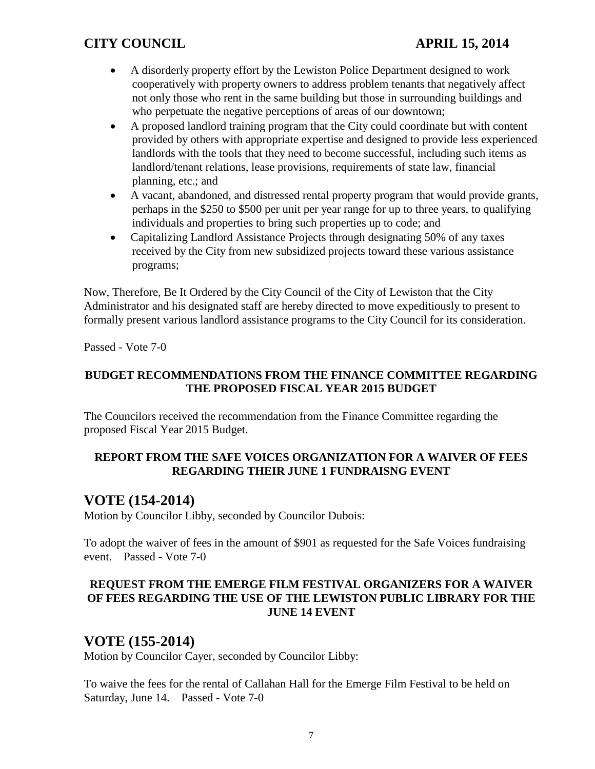- A disorderly property effort by the Lewiston Police Department designed to work cooperatively with property owners to address problem tenants that negatively affect not only those who rent in the same building but those in surrounding buildings and who perpetuate the negative perceptions of areas of our downtown;
- A proposed landlord training program that the City could coordinate but with content provided by others with appropriate expertise and designed to provide less experienced landlords with the tools that they need to become successful, including such items as landlord/tenant relations, lease provisions, requirements of state law, financial planning, etc.; and
- A vacant, abandoned, and distressed rental property program that would provide grants, perhaps in the \$250 to \$500 per unit per year range for up to three years, to qualifying individuals and properties to bring such properties up to code; and
- Capitalizing Landlord Assistance Projects through designating 50% of any taxes received by the City from new subsidized projects toward these various assistance programs;

Now, Therefore, Be It Ordered by the City Council of the City of Lewiston that the City Administrator and his designated staff are hereby directed to move expeditiously to present to formally present various landlord assistance programs to the City Council for its consideration.

Passed - Vote 7-0

#### **BUDGET RECOMMENDATIONS FROM THE FINANCE COMMITTEE REGARDING THE PROPOSED FISCAL YEAR 2015 BUDGET**

The Councilors received the recommendation from the Finance Committee regarding the proposed Fiscal Year 2015 Budget.

#### **REPORT FROM THE SAFE VOICES ORGANIZATION FOR A WAIVER OF FEES REGARDING THEIR JUNE 1 FUNDRAISNG EVENT**

## **VOTE (154-2014)**

Motion by Councilor Libby, seconded by Councilor Dubois:

To adopt the waiver of fees in the amount of \$901 as requested for the Safe Voices fundraising event. Passed - Vote 7-0

#### **REQUEST FROM THE EMERGE FILM FESTIVAL ORGANIZERS FOR A WAIVER OF FEES REGARDING THE USE OF THE LEWISTON PUBLIC LIBRARY FOR THE JUNE 14 EVENT**

## **VOTE (155-2014)**

Motion by Councilor Cayer, seconded by Councilor Libby:

To waive the fees for the rental of Callahan Hall for the Emerge Film Festival to be held on Saturday, June 14. Passed - Vote 7-0